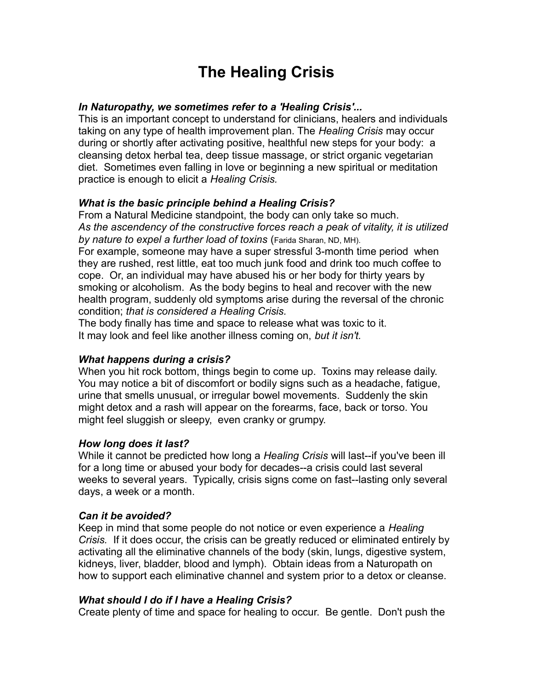# **The Healing Crisis**

#### *In Naturopathy, we sometimes refer to a 'Healing Crisis'...*

This is an important concept to understand for clinicians, healers and individuals taking on any type of health improvement plan. The *Healing Crisis* may occur during or shortly after activating positive, healthful new steps for your body: a cleansing detox herbal tea, deep tissue massage, or strict organic vegetarian diet. Sometimes even falling in love or beginning a new spiritual or meditation practice is enough to elicit a *Healing Crisis.*

## *What is the basic principle behind a Healing Crisis?*

From a Natural Medicine standpoint, the body can only take so much. *As the ascendency of the constructive forces reach a peak of vitality, it is utilized by nature to expel a further load of toxins* (Farida Sharan, ND, MH).

For example, someone may have a super stressful 3-month time period when they are rushed, rest little, eat too much junk food and drink too much coffee to cope. Or, an individual may have abused his or her body for thirty years by smoking or alcoholism. As the body begins to heal and recover with the new health program, suddenly old symptoms arise during the reversal of the chronic condition; *that is considered a Healing Crisis.*

The body finally has time and space to release what was toxic to it. It may look and feel like another illness coming on, *but it isn't.* 

## *What happens during a crisis?*

When you hit rock bottom, things begin to come up. Toxins may release daily. You may notice a bit of discomfort or bodily signs such as a headache, fatigue, urine that smells unusual, or irregular bowel movements. Suddenly the skin might detox and a rash will appear on the forearms, face, back or torso. You might feel sluggish or sleepy, even cranky or grumpy.

## *How long does it last?*

While it cannot be predicted how long a *Healing Crisis* will last--if you've been ill for a long time or abused your body for decades--a crisis could last several weeks to several years. Typically, crisis signs come on fast--lasting only several days, a week or a month.

## *Can it be avoided?*

Keep in mind that some people do not notice or even experience a *Healing Crisis.* If it does occur, the crisis can be greatly reduced or eliminated entirely by activating all the eliminative channels of the body (skin, lungs, digestive system, kidneys, liver, bladder, blood and lymph). Obtain ideas from a Naturopath on how to support each eliminative channel and system prior to a detox or cleanse.

## *What should I do if I have a Healing Crisis?*

Create plenty of time and space for healing to occur. Be gentle. Don't push the